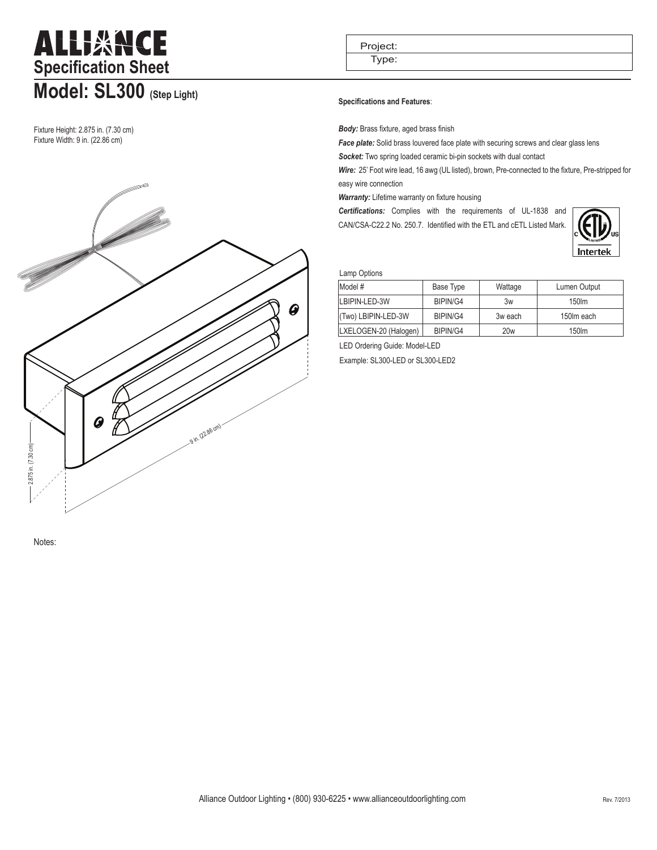# ALLIXNCE **Specification Sheet Model: SL300 (Step Light)**

Fixture Height: 2.875 in. (7.30 cm) Fixture Width: 9 in. (22.86 cm)



Project:

Type:

### **Specifications and Features**:

*Body:* Brass fixture, aged brass finish

**Face plate:** Solid brass louvered face plate with securing screws and clear glass lens *Socket:* Two spring loaded ceramic bi-pin sockets with dual contact

*Wire:* 25' Foot wire lead, 16 awg (UL listed), brown, Pre-connected to the fixture, Pre-stripped for easy wire connection

*Warranty:* Lifetime warranty on fixture housing

*Certifications:* Complies with the requirements of UL-1838 and CAN/CSA-C22.2 No. 250.7. Identified with the ETL and cETL Listed Mark.



#### Lamp Options

| Model #               | Base Type | Wattage | Lumen Output |  |  |  |  |
|-----------------------|-----------|---------|--------------|--|--|--|--|
| LBIPIN-LED-3W         | BIPIN/G4  | 3w      | 150lm        |  |  |  |  |
| (Two) LBIPIN-LED-3W   | BIPIN/G4  | 3w each | 150m each    |  |  |  |  |
| LXELOGEN-20 (Halogen) | BIPIN/G4  | 20w     | 150lm        |  |  |  |  |

LED Ordering Guide: Model-LED

Example: SL300-LED or SL300-LED2

Notes: